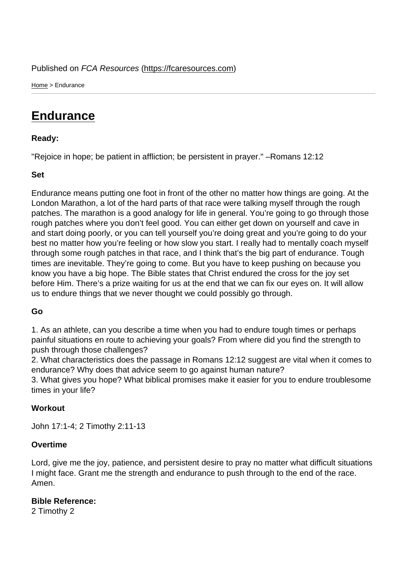Home > Endurance

## **[End](https://fcaresources.com/)urance**

Ready:

["Rejoice in hope;](https://fcaresources.com/devotional/endurance) be patient in affliction; be persistent in prayer." –Romans 12:12

Set

Endurance means putting one foot in front of the other no matter how things are going. At the London Marathon, a lot of the hard parts of that race were talking myself through the rough patches. The marathon is a good analogy for life in general. You're going to go through those rough patches where you don't feel good. You can either get down on yourself and cave in and start doing poorly, or you can tell yourself you're doing great and you're going to do your best no matter how you're feeling or how slow you start. I really had to mentally coach myself through some rough patches in that race, and I think that's the big part of endurance. Tough times are inevitable. They're going to come. But you have to keep pushing on because you know you have a big hope. The Bible states that Christ endured the cross for the joy set before Him. There's a prize waiting for us at the end that we can fix our eyes on. It will allow us to endure things that we never thought we could possibly go through.

Go

1. As an athlete, can you describe a time when you had to endure tough times or perhaps painful situations en route to achieving your goals? From where did you find the strength to push through those challenges?

2. What characteristics does the passage in Romans 12:12 suggest are vital when it comes to endurance? Why does that advice seem to go against human nature?

3. What gives you hope? What biblical promises make it easier for you to endure troublesome times in your life?

**Workout** 

John 17:1-4; 2 Timothy 2:11-13

**Overtime** 

Lord, give me the joy, patience, and persistent desire to pray no matter what difficult situations I might face. Grant me the strength and endurance to push through to the end of the race. Amen.

Bible Reference: 2 Timothy 2